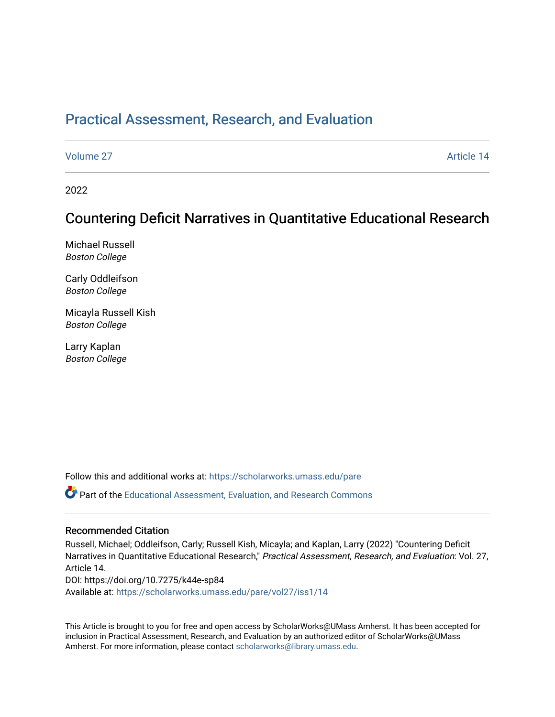# [Practical Assessment, Research, and Evaluation](https://scholarworks.umass.edu/pare)

[Volume 27](https://scholarworks.umass.edu/pare/vol27) Article 14

2022

# Countering Deficit Narratives in Quantitative Educational Research

Michael Russell Boston College

Carly Oddleifson Boston College

Micayla Russell Kish Boston College

Larry Kaplan Boston College

Follow this and additional works at: [https://scholarworks.umass.edu/pare](https://scholarworks.umass.edu/pare?utm_source=scholarworks.umass.edu%2Fpare%2Fvol27%2Fiss1%2F14&utm_medium=PDF&utm_campaign=PDFCoverPages) 

Part of the [Educational Assessment, Evaluation, and Research Commons](https://network.bepress.com/hgg/discipline/796?utm_source=scholarworks.umass.edu%2Fpare%2Fvol27%2Fiss1%2F14&utm_medium=PDF&utm_campaign=PDFCoverPages)

#### Recommended Citation

Russell, Michael; Oddleifson, Carly; Russell Kish, Micayla; and Kaplan, Larry (2022) "Countering Deficit Narratives in Quantitative Educational Research," Practical Assessment, Research, and Evaluation: Vol. 27, Article 14. DOI: https://doi.org/10.7275/k44e-sp84 Available at: [https://scholarworks.umass.edu/pare/vol27/iss1/14](https://scholarworks.umass.edu/pare/vol27/iss1/14?utm_source=scholarworks.umass.edu%2Fpare%2Fvol27%2Fiss1%2F14&utm_medium=PDF&utm_campaign=PDFCoverPages) 

This Article is brought to you for free and open access by ScholarWorks@UMass Amherst. It has been accepted for inclusion in Practical Assessment, Research, and Evaluation by an authorized editor of ScholarWorks@UMass Amherst. For more information, please contact [scholarworks@library.umass.edu](mailto:scholarworks@library.umass.edu).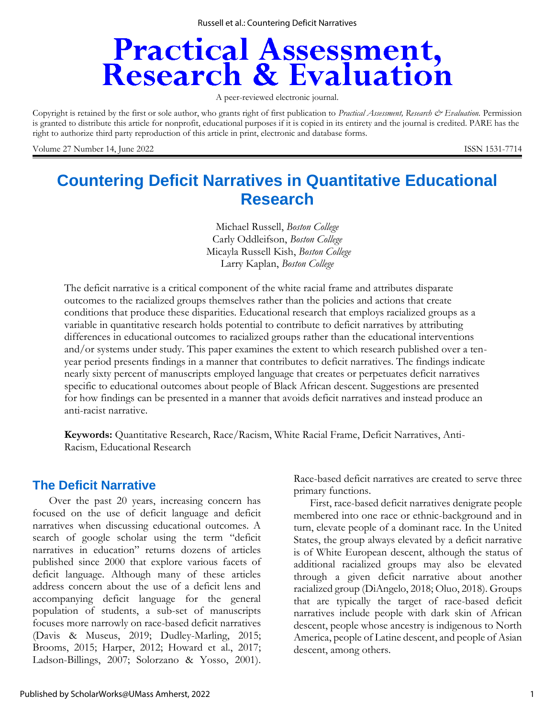# **Practical Assessment,<br>Research & Evaluation**

A peer-reviewed electronic journal.

Copyright is retained by the first or sole author, who grants right of first publication to *Practical Assessment, Research & Evaluation.* Permission is granted to distribute this article for nonprofit, educational purposes if it is copied in its entirety and the journal is credited. PARE has the right to authorize third party reproduction of this article in print, electronic and database forms.

Volume 27 Number 14, June 2022 **ISSN 1531-7714** 

# **Countering Deficit Narratives in Quantitative Educational Research**

Michael Russell, *Boston College* Carly Oddleifson, *Boston College* Micayla Russell Kish, *Boston College* Larry Kaplan, *Boston College*

The deficit narrative is a critical component of the white racial frame and attributes disparate outcomes to the racialized groups themselves rather than the policies and actions that create conditions that produce these disparities. Educational research that employs racialized groups as a variable in quantitative research holds potential to contribute to deficit narratives by attributing differences in educational outcomes to racialized groups rather than the educational interventions and/or systems under study. This paper examines the extent to which research published over a tenyear period presents findings in a manner that contributes to deficit narratives. The findings indicate nearly sixty percent of manuscripts employed language that creates or perpetuates deficit narratives specific to educational outcomes about people of Black African descent. Suggestions are presented for how findings can be presented in a manner that avoids deficit narratives and instead produce an anti-racist narrative.

**Keywords:** Quantitative Research, Race/Racism, White Racial Frame, Deficit Narratives, Anti-Racism, Educational Research

# **The Deficit Narrative**

Over the past 20 years, increasing concern has focused on the use of deficit language and deficit narratives when discussing educational outcomes. A search of google scholar using the term "deficit narratives in education" returns dozens of articles published since 2000 that explore various facets of deficit language. Although many of these articles address concern about the use of a deficit lens and accompanying deficit language for the general population of students, a sub-set of manuscripts focuses more narrowly on race-based deficit narratives (Davis & Museus, 2019; Dudley-Marling, 2015; Brooms, 2015; Harper, 2012; Howard et al., 2017; Ladson-Billings, 2007; Solorzano & Yosso, 2001).

Race-based deficit narratives are created to serve three primary functions.

First, race-based deficit narratives denigrate people membered into one race or ethnic-background and in turn, elevate people of a dominant race. In the United States, the group always elevated by a deficit narrative is of White European descent, although the status of additional racialized groups may also be elevated through a given deficit narrative about another racialized group (DiAngelo, 2018; Oluo, 2018). Groups that are typically the target of race-based deficit narratives include people with dark skin of African descent, people whose ancestry is indigenous to North America, people of Latine descent, and people of Asian descent, among others.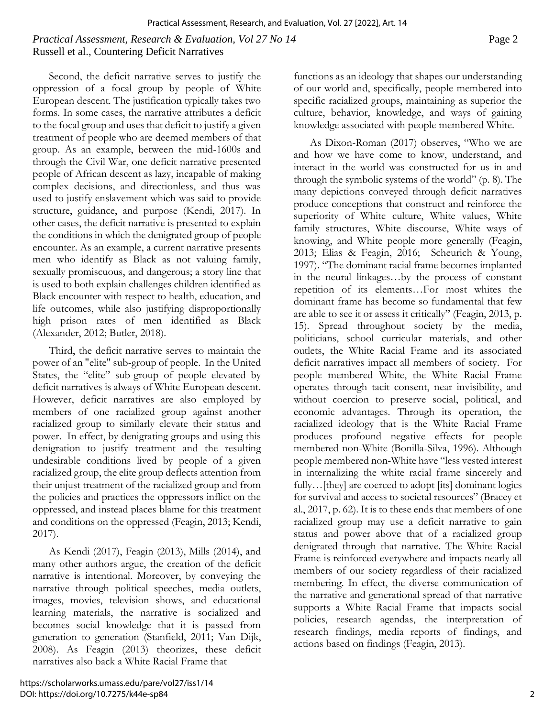# *Practical Assessment, Research & Evaluation, Vol 27 No 14* Page 2 Russell et al., Countering Deficit Narratives

Second, the deficit narrative serves to justify the oppression of a focal group by people of White European descent. The justification typically takes two forms. In some cases, the narrative attributes a deficit to the focal group and uses that deficit to justify a given treatment of people who are deemed members of that group. As an example, between the mid-1600s and through the Civil War, one deficit narrative presented people of African descent as lazy, incapable of making complex decisions, and directionless, and thus was used to justify enslavement which was said to provide structure, guidance, and purpose (Kendi, 2017). In other cases, the deficit narrative is presented to explain the conditions in which the denigrated group of people encounter. As an example, a current narrative presents men who identify as Black as not valuing family, sexually promiscuous, and dangerous; a story line that is used to both explain challenges children identified as Black encounter with respect to health, education, and life outcomes, while also justifying disproportionally high prison rates of men identified as Black (Alexander, 2012; Butler, 2018).

Third, the deficit narrative serves to maintain the power of an "elite" sub-group of people. In the United States, the "elite" sub-group of people elevated by deficit narratives is always of White European descent. However, deficit narratives are also employed by members of one racialized group against another racialized group to similarly elevate their status and power. In effect, by denigrating groups and using this denigration to justify treatment and the resulting undesirable conditions lived by people of a given racialized group, the elite group deflects attention from their unjust treatment of the racialized group and from the policies and practices the oppressors inflict on the oppressed, and instead places blame for this treatment and conditions on the oppressed (Feagin, 2013; Kendi, 2017).

As Kendi (2017), Feagin (2013), Mills (2014), and many other authors argue, the creation of the deficit narrative is intentional. Moreover, by conveying the narrative through political speeches, media outlets, images, movies, television shows, and educational learning materials, the narrative is socialized and becomes social knowledge that it is passed from generation to generation (Stanfield, 2011; Van Dijk, 2008). As Feagin (2013) theorizes, these deficit narratives also back a White Racial Frame that

functions as an ideology that shapes our understanding of our world and, specifically, people membered into specific racialized groups, maintaining as superior the culture, behavior, knowledge, and ways of gaining knowledge associated with people membered White.

As Dixon-Roman (2017) observes, "Who we are and how we have come to know, understand, and interact in the world was constructed for us in and through the symbolic systems of the world" (p. 8). The many depictions conveyed through deficit narratives produce conceptions that construct and reinforce the superiority of White culture, White values, White family structures, White discourse, White ways of knowing, and White people more generally (Feagin, 2013; Elias & Feagin, 2016; Scheurich & Young, 1997). "The dominant racial frame becomes implanted in the neural linkages…by the process of constant repetition of its elements…For most whites the dominant frame has become so fundamental that few are able to see it or assess it critically" (Feagin, 2013, p. 15). Spread throughout society by the media, politicians, school curricular materials, and other outlets, the White Racial Frame and its associated deficit narratives impact all members of society. For people membered White, the White Racial Frame operates through tacit consent, near invisibility, and without coercion to preserve social, political, and economic advantages. Through its operation, the racialized ideology that is the White Racial Frame produces profound negative effects for people membered non-White (Bonilla-Silva, 1996). Although people membered non-White have "less vested interest in internalizing the white racial frame sincerely and fully... [they] are coerced to adopt [its] dominant logics for survival and access to societal resources" (Bracey et al., 2017, p. 62). It is to these ends that members of one racialized group may use a deficit narrative to gain status and power above that of a racialized group denigrated through that narrative. The White Racial Frame is reinforced everywhere and impacts nearly all members of our society regardless of their racialized membering. In effect, the diverse communication of the narrative and generational spread of that narrative supports a White Racial Frame that impacts social policies, research agendas, the interpretation of research findings, media reports of findings, and actions based on findings (Feagin, 2013).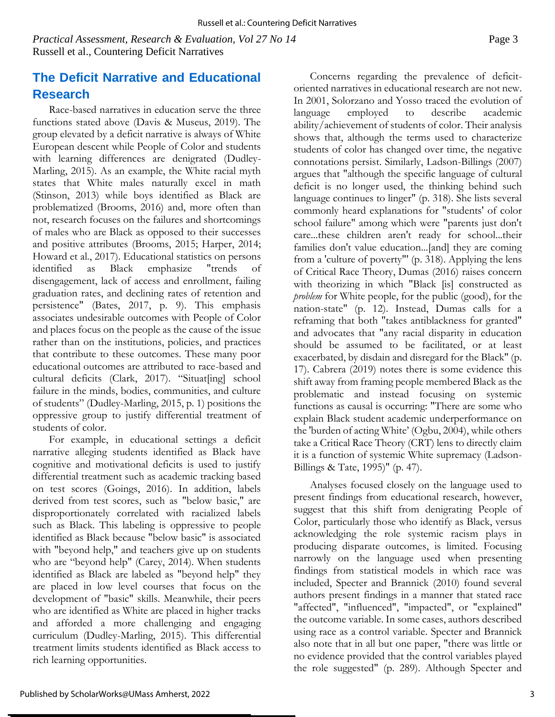*Practical Assessment, Research & Evaluation, Vol 27 No 14* Page 3 Russell et al., Countering Deficit Narratives

# **The Deficit Narrative and Educational Research**

Race-based narratives in education serve the three functions stated above (Davis & Museus, 2019). The group elevated by a deficit narrative is always of White European descent while People of Color and students with learning differences are denigrated (Dudley-Marling, 2015). As an example, the White racial myth states that White males naturally excel in math (Stinson, 2013) while boys identified as Black are problematized (Brooms, 2016) and, more often than not, research focuses on the failures and shortcomings of males who are Black as opposed to their successes and positive attributes (Brooms, 2015; Harper, 2014; Howard et al., 2017). Educational statistics on persons identified as Black emphasize "trends of disengagement, lack of access and enrollment, failing graduation rates, and declining rates of retention and persistence" (Bates, 2017, p. 9). This emphasis associates undesirable outcomes with People of Color and places focus on the people as the cause of the issue rather than on the institutions, policies, and practices that contribute to these outcomes. These many poor educational outcomes are attributed to race-based and cultural deficits (Clark, 2017). "Situat[ing] school failure in the minds, bodies, communities, and culture of students" (Dudley-Marling, 2015, p. 1) positions the oppressive group to justify differential treatment of students of color.

For example, in educational settings a deficit narrative alleging students identified as Black have cognitive and motivational deficits is used to justify differential treatment such as academic tracking based on test scores (Goings, 2016). In addition, labels derived from test scores, such as "below basic," are disproportionately correlated with racialized labels such as Black. This labeling is oppressive to people identified as Black because "below basic" is associated with "beyond help," and teachers give up on students who are "beyond help" (Carey, 2014). When students identified as Black are labeled as "beyond help" they are placed in low level courses that focus on the development of "basic" skills. Meanwhile, their peers who are identified as White are placed in higher tracks and afforded a more challenging and engaging curriculum (Dudley-Marling, 2015). This differential treatment limits students identified as Black access to rich learning opportunities.

Published by ScholarWorks@UMass Amherst, 2022

Concerns regarding the prevalence of deficitoriented narratives in educational research are not new. In 2001, Solorzano and Yosso traced the evolution of language employed to describe academic ability/achievement of students of color. Their analysis shows that, although the terms used to characterize students of color has changed over time, the negative connotations persist. Similarly, Ladson-Billings (2007) argues that "although the specific language of cultural deficit is no longer used, the thinking behind such language continues to linger" (p. 318). She lists several commonly heard explanations for "students' of color school failure" among which were "parents just don't care...these children aren't ready for school...their families don't value education...[and] they are coming from a 'culture of poverty"' (p. 318). Applying the lens of Critical Race Theory, Dumas (2016) raises concern with theorizing in which "Black [is] constructed as *problem* for White people, for the public (good), for the nation-state" (p. 12). Instead, Dumas calls for a reframing that both "takes antiblackness for granted" and advocates that "any racial disparity in education should be assumed to be facilitated, or at least exacerbated, by disdain and disregard for the Black" (p. 17). Cabrera (2019) notes there is some evidence this shift away from framing people membered Black as the problematic and instead focusing on systemic functions as causal is occurring: "There are some who explain Black student academic underperformance on the 'burden of acting White' (Ogbu, 2004), while others take a Critical Race Theory (CRT) lens to directly claim it is a function of systemic White supremacy (Ladson-Billings & Tate, 1995)" (p. 47).

Analyses focused closely on the language used to present findings from educational research, however, suggest that this shift from denigrating People of Color, particularly those who identify as Black, versus acknowledging the role systemic racism plays in producing disparate outcomes, is limited. Focusing narrowly on the language used when presenting findings from statistical models in which race was included, Specter and Brannick (2010) found several authors present findings in a manner that stated race "affected", "influenced", "impacted", or "explained" the outcome variable. In some cases, authors described using race as a control variable. Specter and Brannick also note that in all but one paper, "there was little or no evidence provided that the control variables played the role suggested" (p. 289). Although Specter and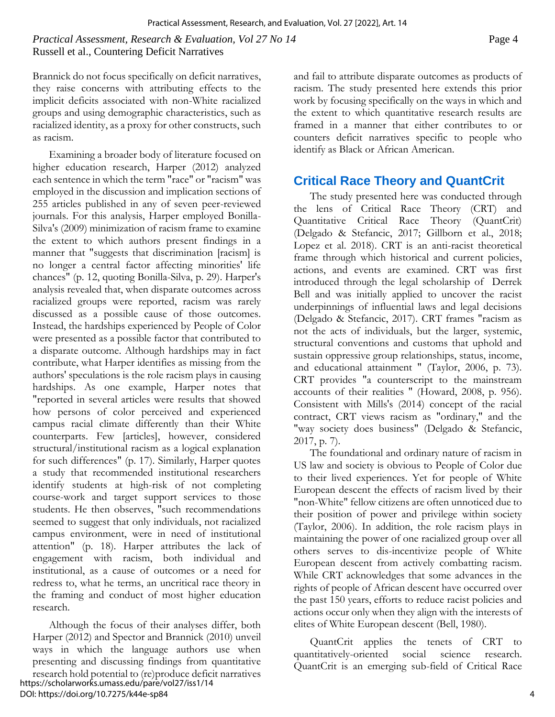### *Practical Assessment, Research & Evaluation, Vol 27 No 14* Page 4 Russell et al., Countering Deficit Narratives

Brannick do not focus specifically on deficit narratives, they raise concerns with attributing effects to the implicit deficits associated with non-White racialized groups and using demographic characteristics, such as racialized identity, as a proxy for other constructs, such as racism.

Examining a broader body of literature focused on higher education research, Harper (2012) analyzed each sentence in which the term "race" or "racism" was employed in the discussion and implication sections of 255 articles published in any of seven peer-reviewed journals. For this analysis, Harper employed Bonilla-Silva's (2009) minimization of racism frame to examine the extent to which authors present findings in a manner that "suggests that discrimination [racism] is no longer a central factor affecting minorities' life chances" (p. 12, quoting Bonilla-Silva, p. 29). Harper's analysis revealed that, when disparate outcomes across racialized groups were reported, racism was rarely discussed as a possible cause of those outcomes. Instead, the hardships experienced by People of Color were presented as a possible factor that contributed to a disparate outcome. Although hardships may in fact contribute, what Harper identifies as missing from the authors' speculations is the role racism plays in causing hardships. As one example, Harper notes that "reported in several articles were results that showed how persons of color perceived and experienced campus racial climate differently than their White counterparts. Few [articles], however, considered structural/institutional racism as a logical explanation for such differences" (p. 17). Similarly, Harper quotes a study that recommended institutional researchers identify students at high-risk of not completing course-work and target support services to those students. He then observes, "such recommendations seemed to suggest that only individuals, not racialized campus environment, were in need of institutional attention" (p. 18). Harper attributes the lack of engagement with racism, both individual and institutional, as a cause of outcomes or a need for redress to, what he terms, an uncritical race theory in the framing and conduct of most higher education research.

Although the focus of their analyses differ, both Harper (2012) and Spector and Brannick (2010) unveil ways in which the language authors use when presenting and discussing findings from quantitative research hold potential to (re)produce deficit narratives https://scholarworks.umass.edu/pare/vol27/iss1/14 DOI: https://doi.org/10.7275/k44e-sp84

and fail to attribute disparate outcomes as products of racism. The study presented here extends this prior work by focusing specifically on the ways in which and the extent to which quantitative research results are framed in a manner that either contributes to or counters deficit narratives specific to people who identify as Black or African American.

# **Critical Race Theory and QuantCrit**

The study presented here was conducted through the lens of Critical Race Theory (CRT) and Quantitative Critical Race Theory (QuantCrit) (Delgado & Stefancic, 2017; Gillborn et al., 2018; Lopez et al. 2018). CRT is an anti-racist theoretical frame through which historical and current policies, actions, and events are examined. CRT was first introduced through the legal scholarship of Derrek Bell and was initially applied to uncover the racist underpinnings of influential laws and legal decisions (Delgado & Stefancic, 2017). CRT frames "racism as not the acts of individuals, but the larger, systemic, structural conventions and customs that uphold and sustain oppressive group relationships, status, income, and educational attainment " (Taylor, 2006, p. 73). CRT provides "a counterscript to the mainstream accounts of their realities " (Howard, 2008, p. 956). Consistent with Mills's (2014) concept of the racial contract, CRT views racism as "ordinary," and the "way society does business" (Delgado & Stefancic, 2017, p. 7).

The foundational and ordinary nature of racism in US law and society is obvious to People of Color due to their lived experiences. Yet for people of White European descent the effects of racism lived by their "non-White" fellow citizens are often unnoticed due to their position of power and privilege within society (Taylor, 2006). In addition, the role racism plays in maintaining the power of one racialized group over all others serves to dis-incentivize people of White European descent from actively combatting racism. While CRT acknowledges that some advances in the rights of people of African descent have occurred over the past 150 years, efforts to reduce racist policies and actions occur only when they align with the interests of elites of White European descent (Bell, 1980).

QuantCrit applies the tenets of CRT to quantitatively-oriented social science research. QuantCrit is an emerging sub-field of Critical Race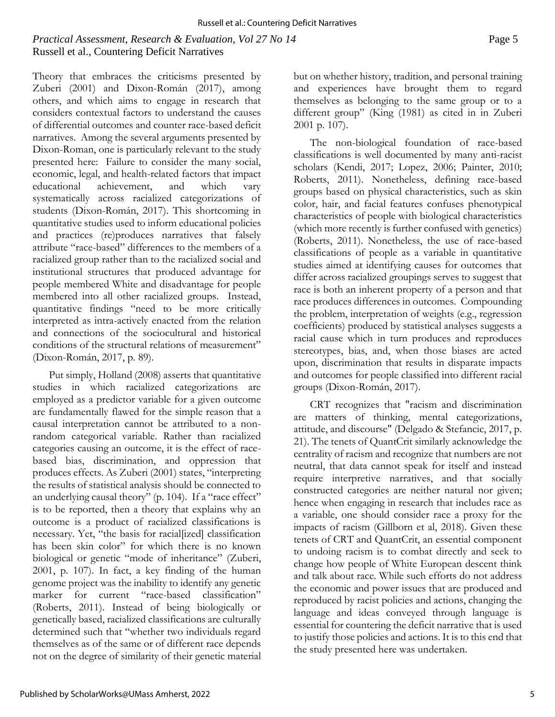## *Practical Assessment, Research & Evaluation, Vol 27 No 14* Page 5 Russell et al., Countering Deficit Narratives

Theory that embraces the criticisms presented by Zuberi (2001) and Dixon-Román (2017), among others, and which aims to engage in research that considers contextual factors to understand the causes of differential outcomes and counter race-based deficit narratives. Among the several arguments presented by Dixon-Roman, one is particularly relevant to the study presented here: Failure to consider the many social, economic, legal, and health-related factors that impact educational achievement, and which vary systematically across racialized categorizations of students (Dixon-Román, 2017). This shortcoming in quantitative studies used to inform educational policies and practices (re)produces narratives that falsely attribute "race-based" differences to the members of a racialized group rather than to the racialized social and institutional structures that produced advantage for people membered White and disadvantage for people membered into all other racialized groups. Instead, quantitative findings "need to be more critically interpreted as intra-actively enacted from the relation and connections of the sociocultural and historical conditions of the structural relations of measurement" (Dixon-Román, 2017, p. 89).

Put simply, Holland (2008) asserts that quantitative studies in which racialized categorizations are employed as a predictor variable for a given outcome are fundamentally flawed for the simple reason that a causal interpretation cannot be attributed to a nonrandom categorical variable. Rather than racialized categories causing an outcome, it is the effect of racebased bias, discrimination, and oppression that produces effects. As Zuberi (2001) states, "interpreting the results of statistical analysis should be connected to an underlying causal theory" (p. 104). If a "race effect" is to be reported, then a theory that explains why an outcome is a product of racialized classifications is necessary. Yet, "the basis for racial[ized] classification has been skin color" for which there is no known biological or genetic "mode of inheritance" (Zuberi, 2001, p. 107). In fact, a key finding of the human genome project was the inability to identify any genetic marker for current "race-based classification" (Roberts, 2011). Instead of being biologically or genetically based, racialized classifications are culturally determined such that "whether two individuals regard themselves as of the same or of different race depends not on the degree of similarity of their genetic material but on whether history, tradition, and personal training and experiences have brought them to regard themselves as belonging to the same group or to a different group" (King (1981) as cited in in Zuberi 2001 p. 107).

The non-biological foundation of race-based classifications is well documented by many anti-racist scholars (Kendi, 2017; Lopez, 2006; Painter, 2010; Roberts, 2011). Nonetheless, defining race-based groups based on physical characteristics, such as skin color, hair, and facial features confuses phenotypical characteristics of people with biological characteristics (which more recently is further confused with genetics) (Roberts, 2011). Nonetheless, the use of race-based classifications of people as a variable in quantitative studies aimed at identifying causes for outcomes that differ across racialized groupings serves to suggest that race is both an inherent property of a person and that race produces differences in outcomes. Compounding the problem, interpretation of weights (e.g., regression coefficients) produced by statistical analyses suggests a racial cause which in turn produces and reproduces stereotypes, bias, and, when those biases are acted upon, discrimination that results in disparate impacts and outcomes for people classified into different racial groups (Dixon-Román, 2017).

CRT recognizes that "racism and discrimination are matters of thinking, mental categorizations, attitude, and discourse" (Delgado & Stefancic, 2017, p. 21). The tenets of QuantCrit similarly acknowledge the centrality of racism and recognize that numbers are not neutral, that data cannot speak for itself and instead require interpretive narratives, and that socially constructed categories are neither natural nor given; hence when engaging in research that includes race as a variable, one should consider race a proxy for the impacts of racism (Gillborn et al, 2018). Given these tenets of CRT and QuantCrit, an essential component to undoing racism is to combat directly and seek to change how people of White European descent think and talk about race. While such efforts do not address the economic and power issues that are produced and reproduced by racist policies and actions, changing the language and ideas conveyed through language is essential for countering the deficit narrative that is used to justify those policies and actions. It is to this end that the study presented here was undertaken.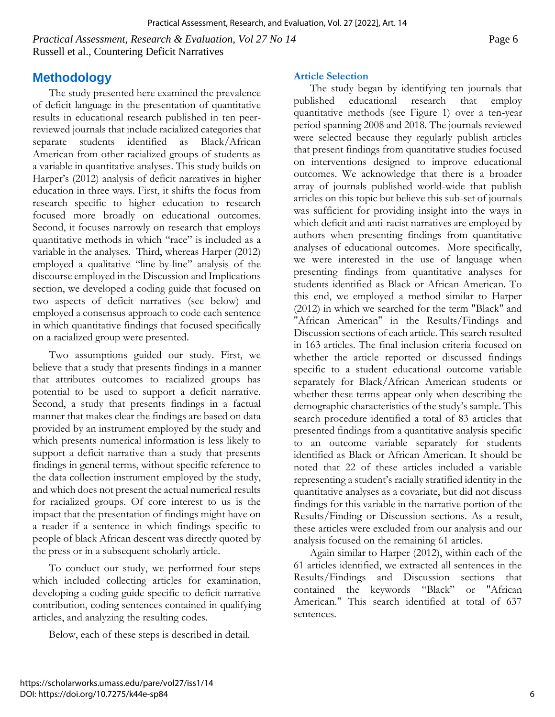https://scholarworks.umass.edu/pare/vol27/iss1/14

DOI: https://doi.org/10.7275/k44e-sp84

*Practical Assessment, Research & Evaluation, Vol 27 No 14* Page 6 Russell et al., Countering Deficit Narratives

The study presented here examined the prevalence of deficit language in the presentation of quantitative results in educational research published in ten peerreviewed journals that include racialized categories that separate students identified as Black/African American from other racialized groups of students as a variable in quantitative analyses. This study builds on Harper's (2012) analysis of deficit narratives in higher education in three ways. First, it shifts the focus from research specific to higher education to research focused more broadly on educational outcomes. Second, it focuses narrowly on research that employs quantitative methods in which "race" is included as a variable in the analyses. Third, whereas Harper (2012) employed a qualitative "line-by-line" analysis of the discourse employed in the Discussion and Implications section, we developed a coding guide that focused on two aspects of deficit narratives (see below) and employed a consensus approach to code each sentence in which quantitative findings that focused specifically on a racialized group were presented.

Two assumptions guided our study. First, we believe that a study that presents findings in a manner that attributes outcomes to racialized groups has potential to be used to support a deficit narrative. Second, a study that presents findings in a factual manner that makes clear the findings are based on data provided by an instrument employed by the study and which presents numerical information is less likely to support a deficit narrative than a study that presents findings in general terms, without specific reference to the data collection instrument employed by the study, and which does not present the actual numerical results for racialized groups. Of core interest to us is the impact that the presentation of findings might have on a reader if a sentence in which findings specific to people of black African descent was directly quoted by the press or in a subsequent scholarly article.

To conduct our study, we performed four steps which included collecting articles for examination, developing a coding guide specific to deficit narrative contribution, coding sentences contained in qualifying articles, and analyzing the resulting codes.

Below, each of these steps is described in detail.

# **Article Selection**

The study began by identifying ten journals that published educational research that employ quantitative methods (see Figure 1) over a ten-year period spanning 2008 and 2018. The journals reviewed were selected because they regularly publish articles that present findings from quantitative studies focused on interventions designed to improve educational outcomes. We acknowledge that there is a broader array of journals published world-wide that publish articles on this topic but believe this sub-set of journals was sufficient for providing insight into the ways in which deficit and anti-racist narratives are employed by authors when presenting findings from quantitative analyses of educational outcomes. More specifically, we were interested in the use of language when presenting findings from quantitative analyses for students identified as Black or African American. To this end, we employed a method similar to Harper (2012) in which we searched for the term "Black" and "African American" in the Results/Findings and Discussion sections of each article. This search resulted in 163 articles. The final inclusion criteria focused on whether the article reported or discussed findings specific to a student educational outcome variable separately for Black/African American students or whether these terms appear only when describing the demographic characteristics of the study's sample. This search procedure identified a total of 83 articles that presented findings from a quantitative analysis specific to an outcome variable separately for students identified as Black or African American. It should be noted that 22 of these articles included a variable representing a student's racially stratified identity in the quantitative analyses as a covariate, but did not discuss findings for this variable in the narrative portion of the Results/Finding or Discussion sections. As a result, these articles were excluded from our analysis and our analysis focused on the remaining 61 articles.

Again similar to Harper (2012), within each of the 61 articles identified, we extracted all sentences in the Results/Findings and Discussion sections that contained the keywords "Black" or "African American." This search identified at total of 637 sentences.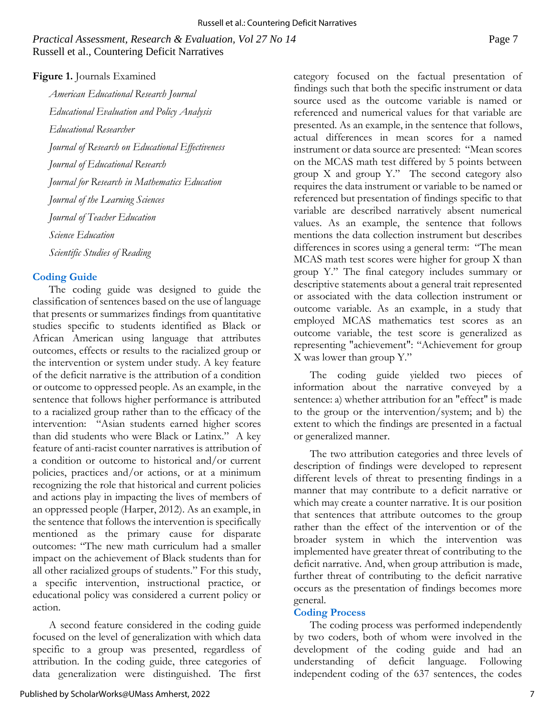#### *Practical Assessment, Research & Evaluation, Vol 27 No 14* Page 7 Russell et al., Countering Deficit Narratives

#### **Figure 1.** Journals Examined

*American Educational Research Journal Educational Evaluation and Policy Analysis Educational Researcher Journal of Research on Educational Effectiveness Journal of Educational Research Journal for Research in Mathematics Education Journal of the Learning Sciences Journal of Teacher Education Science Education Scientific Studies of Reading*

#### **Coding Guide**

The coding guide was designed to guide the classification of sentences based on the use of language that presents or summarizes findings from quantitative studies specific to students identified as Black or African American using language that attributes outcomes, effects or results to the racialized group or the intervention or system under study. A key feature of the deficit narrative is the attribution of a condition or outcome to oppressed people. As an example, in the sentence that follows higher performance is attributed to a racialized group rather than to the efficacy of the intervention: "Asian students earned higher scores than did students who were Black or Latinx." A key feature of anti-racist counter narratives is attribution of a condition or outcome to historical and/or current policies, practices and/or actions, or at a minimum recognizing the role that historical and current policies and actions play in impacting the lives of members of an oppressed people (Harper, 2012). As an example, in the sentence that follows the intervention is specifically mentioned as the primary cause for disparate outcomes: "The new math curriculum had a smaller impact on the achievement of Black students than for all other racialized groups of students." For this study, a specific intervention, instructional practice, or educational policy was considered a current policy or action.

A second feature considered in the coding guide focused on the level of generalization with which data specific to a group was presented, regardless of attribution. In the coding guide, three categories of data generalization were distinguished. The first

category focused on the factual presentation of findings such that both the specific instrument or data source used as the outcome variable is named or referenced and numerical values for that variable are presented. As an example, in the sentence that follows, actual differences in mean scores for a named instrument or data source are presented: "Mean scores on the MCAS math test differed by 5 points between group X and group Y." The second category also requires the data instrument or variable to be named or referenced but presentation of findings specific to that variable are described narratively absent numerical values. As an example, the sentence that follows mentions the data collection instrument but describes differences in scores using a general term: "The mean MCAS math test scores were higher for group X than group Y." The final category includes summary or descriptive statements about a general trait represented or associated with the data collection instrument or outcome variable. As an example, in a study that employed MCAS mathematics test scores as an outcome variable, the test score is generalized as representing "achievement": "Achievement for group X was lower than group Y."

The coding guide yielded two pieces of information about the narrative conveyed by a sentence: a) whether attribution for an "effect" is made to the group or the intervention/system; and b) the extent to which the findings are presented in a factual or generalized manner.

The two attribution categories and three levels of description of findings were developed to represent different levels of threat to presenting findings in a manner that may contribute to a deficit narrative or which may create a counter narrative. It is our position that sentences that attribute outcomes to the group rather than the effect of the intervention or of the broader system in which the intervention was implemented have greater threat of contributing to the deficit narrative. And, when group attribution is made, further threat of contributing to the deficit narrative occurs as the presentation of findings becomes more general.

#### **Coding Process**

The coding process was performed independently by two coders, both of whom were involved in the development of the coding guide and had an understanding of deficit language. Following independent coding of the 637 sentences, the codes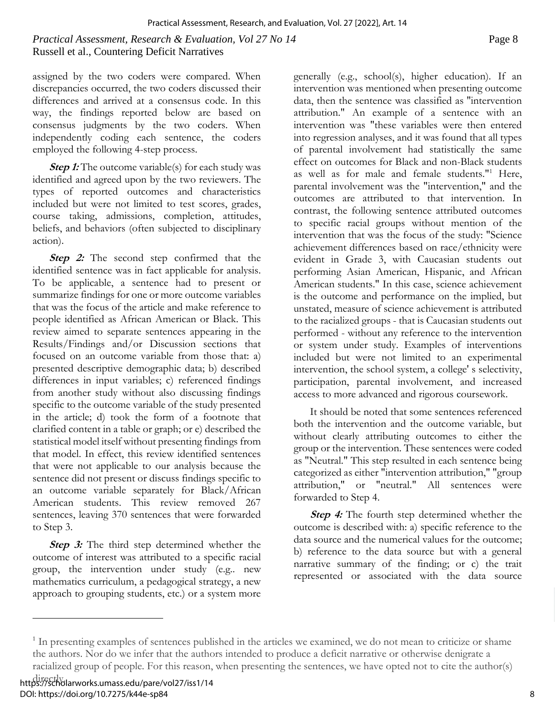# *Practical Assessment, Research & Evaluation, Vol 27 No 14* Page 8 Russell et al., Countering Deficit Narratives

assigned by the two coders were compared. When discrepancies occurred, the two coders discussed their differences and arrived at a consensus code. In this way, the findings reported below are based on consensus judgments by the two coders. When independently coding each sentence, the coders employed the following 4-step process.

**Step 1:** The outcome variable(s) for each study was identified and agreed upon by the two reviewers. The types of reported outcomes and characteristics included but were not limited to test scores, grades, course taking, admissions, completion, attitudes, beliefs, and behaviors (often subjected to disciplinary action).

**Step 2:** The second step confirmed that the identified sentence was in fact applicable for analysis. To be applicable, a sentence had to present or summarize findings for one or more outcome variables that was the focus of the article and make reference to people identified as African American or Black. This review aimed to separate sentences appearing in the Results/Findings and/or Discussion sections that focused on an outcome variable from those that: a) presented descriptive demographic data; b) described differences in input variables; c) referenced findings from another study without also discussing findings specific to the outcome variable of the study presented in the article; d) took the form of a footnote that clarified content in a table or graph; or e) described the statistical model itself without presenting findings from that model. In effect, this review identified sentences that were not applicable to our analysis because the sentence did not present or discuss findings specific to an outcome variable separately for Black/African American students. This review removed 267 sentences, leaving 370 sentences that were forwarded to Step 3.

**Step 3:** The third step determined whether the outcome of interest was attributed to a specific racial group, the intervention under study (e.g.. new mathematics curriculum, a pedagogical strategy, a new approach to grouping students, etc.) or a system more

generally (e.g., school(s), higher education). If an intervention was mentioned when presenting outcome data, then the sentence was classified as ''intervention attribution." An example of a sentence with an intervention was "these variables were then entered into regression analyses, and it was found that all types of parental involvement had statistically the same effect on outcomes for Black and non-Black students as well as for male and female students."<sup>1</sup> Here, parental involvement was the "intervention," and the outcomes are attributed to that intervention. In contrast, the following sentence attributed outcomes to specific racial groups without mention of the intervention that was the focus of the study: "Science achievement differences based on race/ethnicity were evident in Grade 3, with Caucasian students out performing Asian American, Hispanic, and African American students." In this case, science achievement is the outcome and performance on the implied, but unstated, measure of science achievement is attributed to the racialized groups - that is Caucasian students out performed - without any reference to the intervention or system under study. Examples of interventions included but were not limited to an experimental intervention, the school system, a college' s selectivity, participation, parental involvement, and increased access to more advanced and rigorous coursework.

It should be noted that some sentences referenced both the intervention and the outcome variable, but without clearly attributing outcomes to either the group or the intervention. These sentences were coded as "Neutral." This step resulted in each sentence being categorized as either "intervention attribution," "group attribution," or "neutral." All sentences were forwarded to Step 4.

**Step 4:** The fourth step determined whether the outcome is described with: a) specific reference to the data source and the numerical values for the outcome; b) reference to the data source but with a general narrative summary of the finding; or c) the trait represented or associated with the data source

<sup>&</sup>lt;sup>1</sup> In presenting examples of sentences published in the articles we examined, we do not mean to criticize or shame the authors. Nor do we infer that the authors intended to produce a deficit narrative or otherwise denigrate a racialized group of people. For this reason, when presenting the sentences, we have opted not to cite the author(s)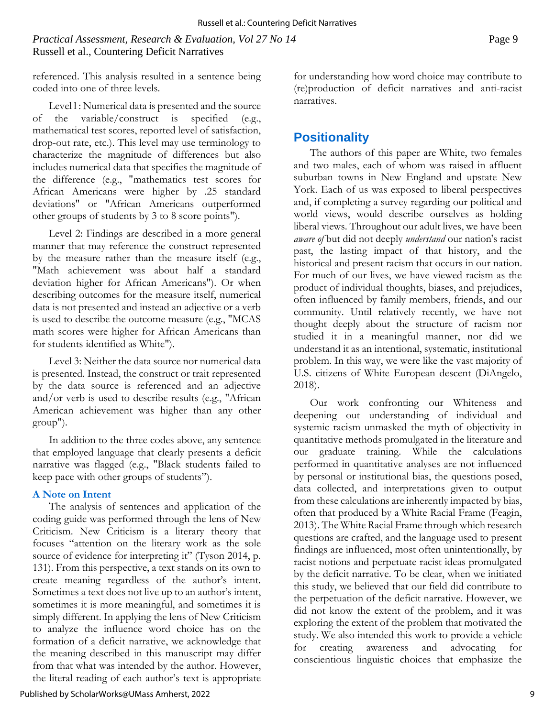*Practical Assessment, Research & Evaluation, Vol 27 No 14* Page 9 Russell et al., Countering Deficit Narratives

referenced. This analysis resulted in a sentence being coded into one of three levels.

Level l : Numerical data is presented and the source of the variable/construct is specified (e.g., mathematical test scores, reported level of satisfaction, drop-out rate, etc.). This level may use terminology to characterize the magnitude of differences but also includes numerical data that specifies the magnitude of the difference (e.g., "mathematics test scores for African Americans were higher by .25 standard deviations" or "African Americans outperformed other groups of students by 3 to 8 score points").

Level 2: Findings are described in a more general manner that may reference the construct represented by the measure rather than the measure itself (e.g., "Math achievement was about half a standard deviation higher for African Americans"). Or when describing outcomes for the measure itself, numerical data is not presented and instead an adjective or a verb is used to describe the outcome measure (e.g., "MCAS math scores were higher for African Americans than for students identified as White").

Level 3: Neither the data source nor numerical data is presented. Instead, the construct or trait represented by the data source is referenced and an adjective and/or verb is used to describe results (e.g., "African American achievement was higher than any other group").

In addition to the three codes above, any sentence that employed language that clearly presents a deficit narrative was flagged (e.g., "Black students failed to keep pace with other groups of students").

#### **A Note on Intent**

The analysis of sentences and application of the coding guide was performed through the lens of New Criticism. New Criticism is a literary theory that focuses "attention on the literary work as the sole source of evidence for interpreting it" (Tyson 2014, p. 131). From this perspective, a text stands on its own to create meaning regardless of the author's intent. Sometimes a text does not live up to an author's intent, sometimes it is more meaningful, and sometimes it is simply different. In applying the lens of New Criticism to analyze the influence word choice has on the formation of a deficit narrative, we acknowledge that the meaning described in this manuscript may differ from that what was intended by the author. However, the literal reading of each author's text is appropriate for understanding how word choice may contribute to (re)production of deficit narratives and anti-racist narratives.

# **Positionality**

The authors of this paper are White, two females and two males, each of whom was raised in affluent suburban towns in New England and upstate New York. Each of us was exposed to liberal perspectives and, if completing a survey regarding our political and world views, would describe ourselves as holding liberal views. Throughout our adult lives, we have been *aware of* but did not deeply *understand* our nation's racist past, the lasting impact of that history, and the historical and present racism that occurs in our nation. For much of our lives, we have viewed racism as the product of individual thoughts, biases, and prejudices, often influenced by family members, friends, and our community. Until relatively recently, we have not thought deeply about the structure of racism nor studied it in a meaningful manner, nor did we understand it as an intentional, systematic, institutional problem. In this way, we were like the vast majority of U.S. citizens of White European descent (DiAngelo, 2018).

Our work confronting our Whiteness and deepening out understanding of individual and systemic racism unmasked the myth of objectivity in quantitative methods promulgated in the literature and our graduate training. While the calculations performed in quantitative analyses are not influenced by personal or institutional bias, the questions posed, data collected, and interpretations given to output from these calculations are inherently impacted by bias, often that produced by a White Racial Frame (Feagin, 2013). The White Racial Frame through which research questions are crafted, and the language used to present findings are influenced, most often unintentionally, by racist notions and perpetuate racist ideas promulgated by the deficit narrative. To be clear, when we initiated this study, we believed that our field did contribute to the perpetuation of the deficit narrative. However, we did not know the extent of the problem, and it was exploring the extent of the problem that motivated the study. We also intended this work to provide a vehicle for creating awareness and advocating for conscientious linguistic choices that emphasize the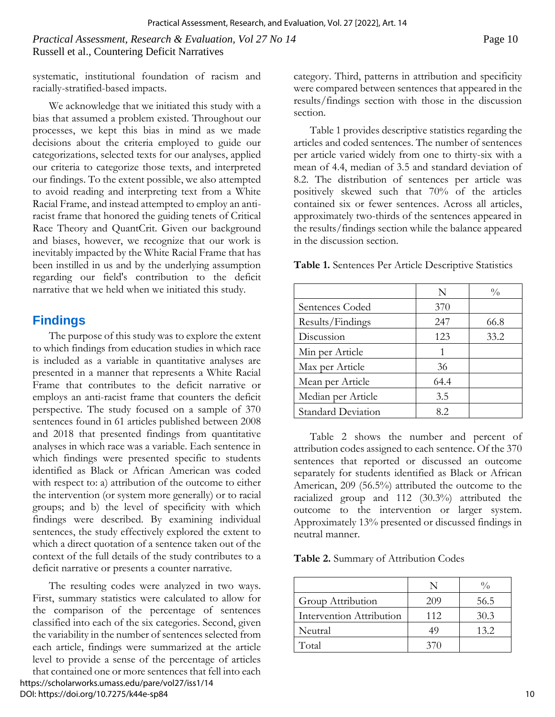systematic, institutional foundation of racism and racially-stratified-based impacts.

We acknowledge that we initiated this study with a bias that assumed a problem existed. Throughout our processes, we kept this bias in mind as we made decisions about the criteria employed to guide our categorizations, selected texts for our analyses, applied our criteria to categorize those texts, and interpreted our findings. To the extent possible, we also attempted to avoid reading and interpreting text from a White Racial Frame, and instead attempted to employ an antiracist frame that honored the guiding tenets of Critical Race Theory and QuantCrit. Given our background and biases, however, we recognize that our work is inevitably impacted by the White Racial Frame that has been instilled in us and by the underlying assumption regarding our field's contribution to the deficit narrative that we held when we initiated this study.

# **Findings**

The purpose of this study was to explore the extent to which findings from education studies in which race is included as a variable in quantitative analyses are presented in a manner that represents a White Racial Frame that contributes to the deficit narrative or employs an anti-racist frame that counters the deficit perspective. The study focused on a sample of 370 sentences found in 61 articles published between 2008 and 2018 that presented findings from quantitative analyses in which race was a variable. Each sentence in which findings were presented specific to students identified as Black or African American was coded with respect to: a) attribution of the outcome to either the intervention (or system more generally) or to racial groups; and b) the level of specificity with which findings were described. By examining individual sentences, the study effectively explored the extent to which a direct quotation of a sentence taken out of the context of the full details of the study contributes to a deficit narrative or presents a counter narrative.

The resulting codes were analyzed in two ways. First, summary statistics were calculated to allow for the comparison of the percentage of sentences classified into each of the six categories. Second, given the variability in the number of sentences selected from each article, findings were summarized at the article level to provide a sense of the percentage of articles that contained one or more sentences that fell into each https://scholarworks.umass.edu/pare/vol27/iss1/14 DOI: https://doi.org/10.7275/k44e-sp84

category. Third, patterns in attribution and specificity were compared between sentences that appeared in the results/findings section with those in the discussion section.

Table 1 provides descriptive statistics regarding the articles and coded sentences. The number of sentences per article varied widely from one to thirty-six with a mean of 4.4, median of 3.5 and standard deviation of 8.2. The distribution of sentences per article was positively skewed such that 70% of the articles contained six or fewer sentences. Across all articles, approximately two-thirds of the sentences appeared in the results/findings section while the balance appeared in the discussion section.

**Table 1.** Sentences Per Article Descriptive Statistics

|                           | N    | $\frac{0}{0}$ |
|---------------------------|------|---------------|
| Sentences Coded           | 370  |               |
| Results/Findings          | 247  | 66.8          |
| Discussion                | 123  | 33.2          |
| Min per Article           |      |               |
| Max per Article           | 36   |               |
| Mean per Article          | 64.4 |               |
| Median per Article        | 3.5  |               |
| <b>Standard Deviation</b> | 8.2  |               |

Table 2 shows the number and percent of attribution codes assigned to each sentence. Of the 370 sentences that reported or discussed an outcome separately for students identified as Black or African American, 209 (56.5%) attributed the outcome to the racialized group and 112 (30.3%) attributed the outcome to the intervention or larger system. Approximately 13% presented or discussed findings in neutral manner.

**Table 2.** Summary of Attribution Codes

|                          |     | $\frac{0}{0}$ |
|--------------------------|-----|---------------|
| Group Attribution        | 209 | 56.5          |
| Intervention Attribution | 112 | 30.3          |
| Neutral                  | 49  | 13.2          |
| Total                    | 370 |               |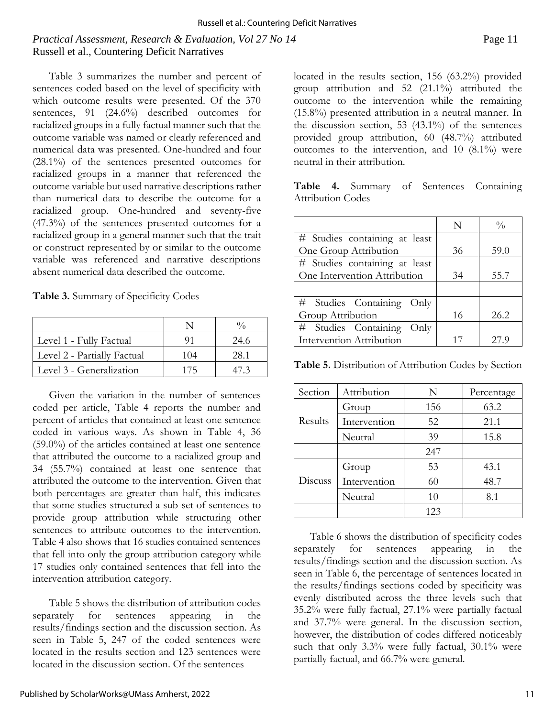# *Practical Assessment, Research & Evaluation, Vol 27 No 14* Page 11 Russell et al., Countering Deficit Narratives

Table 3 summarizes the number and percent of sentences coded based on the level of specificity with which outcome results were presented. Of the 370 sentences, 91 (24.6%) described outcomes for racialized groups in a fully factual manner such that the outcome variable was named or clearly referenced and numerical data was presented. One-hundred and four (28.1%) of the sentences presented outcomes for racialized groups in a manner that referenced the outcome variable but used narrative descriptions rather than numerical data to describe the outcome for a racialized group. One-hundred and seventy-five (47.3%) of the sentences presented outcomes for a racialized group in a general manner such that the trait or construct represented by or similar to the outcome variable was referenced and narrative descriptions absent numerical data described the outcome.

**Table 3.** Summary of Specificity Codes

| Level 1 - Fully Factual     |     | 24.6 |
|-----------------------------|-----|------|
| Level 2 - Partially Factual | 104 | 28.1 |
| Level 3 - Generalization    | 175 |      |

Given the variation in the number of sentences coded per article, Table 4 reports the number and percent of articles that contained at least one sentence coded in various ways. As shown in Table 4, 36 (59.0%) of the articles contained at least one sentence that attributed the outcome to a racialized group and 34 (55.7%) contained at least one sentence that attributed the outcome to the intervention. Given that both percentages are greater than half, this indicates that some studies structured a sub-set of sentences to provide group attribution while structuring other sentences to attribute outcomes to the intervention. Table 4 also shows that 16 studies contained sentences that fell into only the group attribution category while 17 studies only contained sentences that fell into the intervention attribution category.

Table 5 shows the distribution of attribution codes separately for sentences appearing in the results/findings section and the discussion section. As seen in Table 5, 247 of the coded sentences were located in the results section and 123 sentences were located in the discussion section. Of the sentences

group attribution and 52 (21.1%) attributed the outcome to the intervention while the remaining (15.8%) presented attribution in a neutral manner. In the discussion section, 53 (43.1%) of the sentences provided group attribution, 60 (48.7%) attributed outcomes to the intervention, and 10 (8.1%) were neutral in their attribution. **Table 4.** Summary of Sentences Containing

Attribution Codes

|                               | N  | $\frac{0}{0}$ |
|-------------------------------|----|---------------|
| # Studies containing at least |    |               |
| One Group Attribution         | 36 | 59.0          |
| # Studies containing at least |    |               |
| One Intervention Attribution  | 34 | 55.7          |
|                               |    |               |
| # Studies Containing Only     |    |               |
| Group Attribution             | 16 | 26.2          |
| # Studies Containing<br>Only  |    |               |
| Intervention Attribution      |    | 27.9          |

located in the results section, 156 (63.2%) provided

**Table 5.** Distribution of Attribution Codes by Section

| Section | Attribution  | N   | Percentage |
|---------|--------------|-----|------------|
| Results | Group        | 156 | 63.2       |
|         | Intervention | 52  | 21.1       |
|         | Neutral      | 39  | 15.8       |
|         |              | 247 |            |
| Discuss | Group        | 53  | 43.1       |
|         | Intervention | 60  | 48.7       |
|         | Neutral      | 10  | 8.1        |
|         |              | 123 |            |

Table 6 shows the distribution of specificity codes separately for sentences appearing in the results/findings section and the discussion section. As seen in Table 6, the percentage of sentences located in the results/findings sections coded by specificity was evenly distributed across the three levels such that 35.2% were fully factual, 27.1% were partially factual and 37.7% were general. In the discussion section, however, the distribution of codes differed noticeably such that only 3.3% were fully factual, 30.1% were partially factual, and 66.7% were general.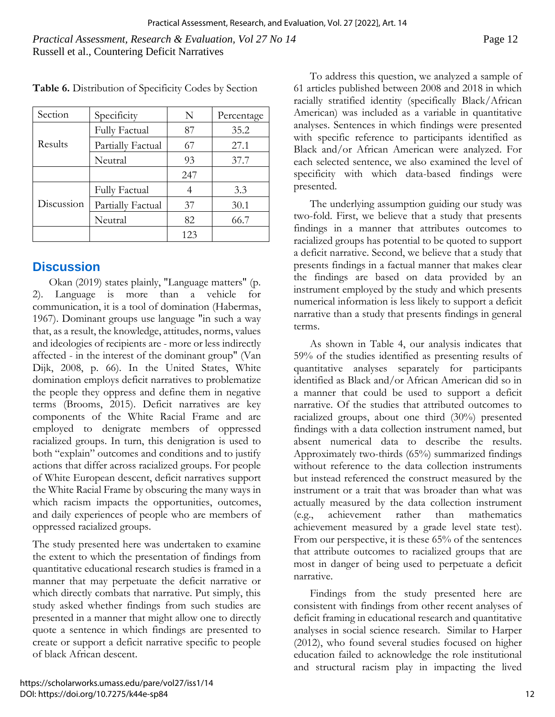*Practical Assessment, Research & Evaluation, Vol 27 No 14* Page 12 Russell et al., Countering Deficit Narratives

| Section    | Specificity          | N   | Percentage |
|------------|----------------------|-----|------------|
| Results    | <b>Fully Factual</b> | 87  | 35.2       |
|            | Partially Factual    | 67  | 27.1       |
|            | Neutral              | 93  | 37.7       |
|            |                      | 247 |            |
| Discussion | <b>Fully Factual</b> |     | 3.3        |
|            | Partially Factual    | 37  | 30.1       |
|            | Neutral              | 82  | 66.7       |
|            |                      | 123 |            |

**Table 6.** Distribution of Specificity Codes by Section

# **Discussion**

Okan (2019) states plainly, "Language matters" (p. 2). Language is more than a vehicle for communication, it is a tool of domination (Habermas, 1967). Dominant groups use language "in such a way that, as a result, the knowledge, attitudes, norms, values and ideologies of recipients are - more or less indirectly affected - in the interest of the dominant group" (Van Dijk, 2008, p. 66). In the United States, White domination employs deficit narratives to problematize the people they oppress and define them in negative terms (Brooms, 2015). Deficit narratives are key components of the White Racial Frame and are employed to denigrate members of oppressed racialized groups. In turn, this denigration is used to both "explain" outcomes and conditions and to justify actions that differ across racialized groups. For people of White European descent, deficit narratives support the White Racial Frame by obscuring the many ways in which racism impacts the opportunities, outcomes, and daily experiences of people who are members of oppressed racialized groups.

The study presented here was undertaken to examine the extent to which the presentation of findings from quantitative educational research studies is framed in a manner that may perpetuate the deficit narrative or which directly combats that narrative. Put simply, this study asked whether findings from such studies are presented in a manner that might allow one to directly quote a sentence in which findings are presented to create or support a deficit narrative specific to people of black African descent.

To address this question, we analyzed a sample of 61 articles published between 2008 and 2018 in which racially stratified identity (specifically Black/African American) was included as a variable in quantitative analyses. Sentences in which findings were presented with specific reference to participants identified as Black and/or African American were analyzed. For each selected sentence, we also examined the level of specificity with which data-based findings were presented.

The underlying assumption guiding our study was two-fold. First, we believe that a study that presents findings in a manner that attributes outcomes to racialized groups has potential to be quoted to support a deficit narrative. Second, we believe that a study that presents findings in a factual manner that makes clear the findings are based on data provided by an instrument employed by the study and which presents numerical information is less likely to support a deficit narrative than a study that presents findings in general terms.

As shown in Table 4, our analysis indicates that 59% of the studies identified as presenting results of quantitative analyses separately for participants identified as Black and/or African American did so in a manner that could be used to support a deficit narrative. Of the studies that attributed outcomes to racialized groups, about one third (30%) presented findings with a data collection instrument named, but absent numerical data to describe the results. Approximately two-thirds (65%) summarized findings without reference to the data collection instruments but instead referenced the construct measured by the instrument or a trait that was broader than what was actually measured by the data collection instrument (e.g., achievement rather than mathematics achievement measured by a grade level state test). From our perspective, it is these 65% of the sentences that attribute outcomes to racialized groups that are most in danger of being used to perpetuate a deficit narrative.

Findings from the study presented here are consistent with findings from other recent analyses of deficit framing in educational research and quantitative analyses in social science research. Similar to Harper (2012), who found several studies focused on higher education failed to acknowledge the role institutional and structural racism play in impacting the lived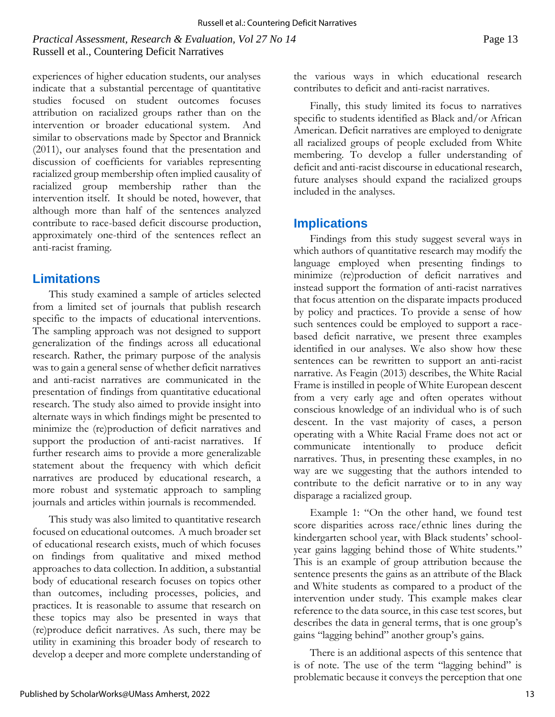*Practical Assessment, Research & Evaluation, Vol 27 No 14* Page 13 Russell et al., Countering Deficit Narratives

experiences of higher education students, our analyses indicate that a substantial percentage of quantitative studies focused on student outcomes focuses attribution on racialized groups rather than on the intervention or broader educational system. And similar to observations made by Spector and Brannick (2011), our analyses found that the presentation and discussion of coefficients for variables representing racialized group membership often implied causality of racialized group membership rather than the intervention itself. It should be noted, however, that although more than half of the sentences analyzed contribute to race-based deficit discourse production, approximately one-third of the sentences reflect an anti-racist framing.

# **Limitations**

This study examined a sample of articles selected from a limited set of journals that publish research specific to the impacts of educational interventions. The sampling approach was not designed to support generalization of the findings across all educational research. Rather, the primary purpose of the analysis was to gain a general sense of whether deficit narratives and anti-racist narratives are communicated in the presentation of findings from quantitative educational research. The study also aimed to provide insight into alternate ways in which findings might be presented to minimize the (re)production of deficit narratives and support the production of anti-racist narratives. If further research aims to provide a more generalizable statement about the frequency with which deficit narratives are produced by educational research, a more robust and systematic approach to sampling journals and articles within journals is recommended.

This study was also limited to quantitative research focused on educational outcomes. A much broader set of educational research exists, much of which focuses on findings from qualitative and mixed method approaches to data collection. In addition, a substantial body of educational research focuses on topics other than outcomes, including processes, policies, and practices. It is reasonable to assume that research on these topics may also be presented in ways that (re)produce deficit narratives. As such, there may be utility in examining this broader body of research to develop a deeper and more complete understanding of the various ways in which educational research contributes to deficit and anti-racist narratives.

Finally, this study limited its focus to narratives specific to students identified as Black and/or African American. Deficit narratives are employed to denigrate all racialized groups of people excluded from White membering. To develop a fuller understanding of deficit and anti-racist discourse in educational research, future analyses should expand the racialized groups included in the analyses.

# **Implications**

Findings from this study suggest several ways in which authors of quantitative research may modify the language employed when presenting findings to minimize (re)production of deficit narratives and instead support the formation of anti-racist narratives that focus attention on the disparate impacts produced by policy and practices. To provide a sense of how such sentences could be employed to support a racebased deficit narrative, we present three examples identified in our analyses. We also show how these sentences can be rewritten to support an anti-racist narrative. As Feagin (2013) describes, the White Racial Frame is instilled in people of White European descent from a very early age and often operates without conscious knowledge of an individual who is of such descent. In the vast majority of cases, a person operating with a White Racial Frame does not act or communicate intentionally to produce deficit narratives. Thus, in presenting these examples, in no way are we suggesting that the authors intended to contribute to the deficit narrative or to in any way disparage a racialized group.

Example 1: "On the other hand, we found test score disparities across race/ethnic lines during the kindergarten school year, with Black students' schoolyear gains lagging behind those of White students." This is an example of group attribution because the sentence presents the gains as an attribute of the Black and White students as compared to a product of the intervention under study. This example makes clear reference to the data source, in this case test scores, but describes the data in general terms, that is one group's gains "lagging behind" another group's gains.

There is an additional aspects of this sentence that is of note. The use of the term "lagging behind" is problematic because it conveys the perception that one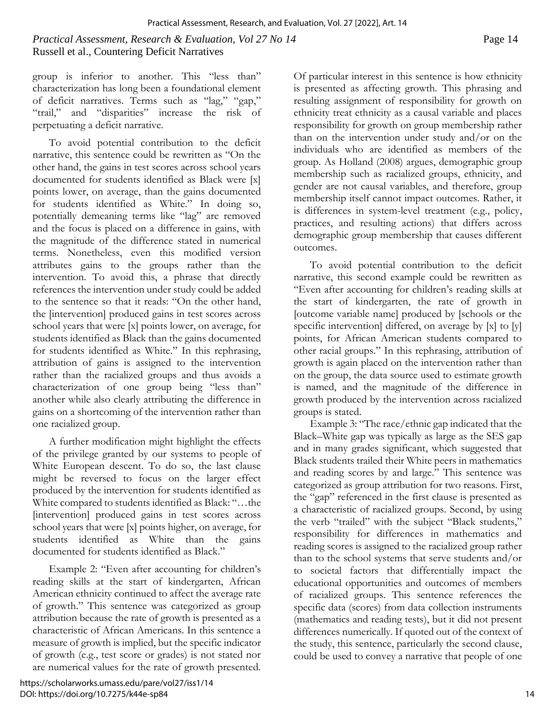*Practical Assessment, Research & Evaluation, Vol 27 No 14* Page 14 Russell et al., Countering Deficit Narratives

group is inferior to another. This "less than" characterization has long been a foundational element of deficit narratives. Terms such as "lag," "gap," "trail," and "disparities" increase the risk of perpetuating a deficit narrative.

To avoid potential contribution to the deficit narrative, this sentence could be rewritten as "On the other hand, the gains in test scores across school years documented for students identified as Black were [x] points lower, on average, than the gains documented for students identified as White." In doing so, potentially demeaning terms like "lag" are removed and the focus is placed on a difference in gains, with the magnitude of the difference stated in numerical terms. Nonetheless, even this modified version attributes gains to the groups rather than the intervention. To avoid this, a phrase that directly references the intervention under study could be added to the sentence so that it reads: "On the other hand, the [intervention] produced gains in test scores across school years that were [x] points lower, on average, for students identified as Black than the gains documented for students identified as White." In this rephrasing, attribution of gains is assigned to the intervention rather than the racialized groups and thus avoids a characterization of one group being "less than" another while also clearly attributing the difference in gains on a shortcoming of the intervention rather than one racialized group.

A further modification might highlight the effects of the privilege granted by our systems to people of White European descent. To do so, the last clause might be reversed to focus on the larger effect produced by the intervention for students identified as White compared to students identified as Black: "…the [intervention] produced gains in test scores across school years that were [x] points higher, on average, for students identified as White than the gains documented for students identified as Black."

Example 2: "Even after accounting for children's reading skills at the start of kindergarten, African American ethnicity continued to affect the average rate of growth." This sentence was categorized as group attribution because the rate of growth is presented as a characteristic of African Americans. In this sentence a measure of growth is implied, but the specific indicator of growth (e.g., test score or grades) is not stated nor are numerical values for the rate of growth presented. Of particular interest in this sentence is how ethnicity is presented as affecting growth. This phrasing and resulting assignment of responsibility for growth on ethnicity treat ethnicity as a causal variable and places responsibility for growth on group membership rather than on the intervention under study and/or on the individuals who are identified as members of the group. As Holland (2008) argues, demographic group membership such as racialized groups, ethnicity, and gender are not causal variables, and therefore, group membership itself cannot impact outcomes. Rather, it is differences in system-level treatment (e.g., policy, practices, and resulting actions) that differs across demographic group membership that causes different outcomes.

To avoid potential contribution to the deficit narrative, this second example could be rewritten as "Even after accounting for children's reading skills at the start of kindergarten, the rate of growth in [outcome variable name] produced by [schools or the specific intervention] differed, on average by [x] to [y] points, for African American students compared to other racial groups." In this rephrasing, attribution of growth is again placed on the intervention rather than on the group, the data source used to estimate growth is named, and the magnitude of the difference in growth produced by the intervention across racialized groups is stated.

Example 3: "The race/ethnic gap indicated that the Black–White gap was typically as large as the SES gap and in many grades significant, which suggested that Black students trailed their White peers in mathematics and reading scores by and large." This sentence was categorized as group attribution for two reasons. First, the "gap" referenced in the first clause is presented as a characteristic of racialized groups. Second, by using the verb "trailed" with the subject "Black students," responsibility for differences in mathematics and reading scores is assigned to the racialized group rather than to the school systems that serve students and/or to societal factors that differentially impact the educational opportunities and outcomes of members of racialized groups. This sentence references the specific data (scores) from data collection instruments (mathematics and reading tests), but it did not present differences numerically. If quoted out of the context of the study, this sentence, particularly the second clause, could be used to convey a narrative that people of one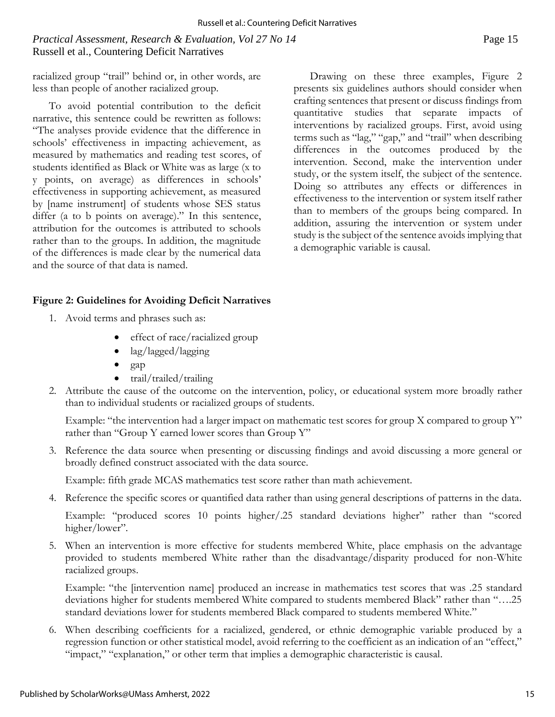# *Practical Assessment, Research & Evaluation, Vol 27 No 14* Page 15 Russell et al., Countering Deficit Narratives

racialized group "trail" behind or, in other words, are less than people of another racialized group.

To avoid potential contribution to the deficit narrative, this sentence could be rewritten as follows: "The analyses provide evidence that the difference in schools' effectiveness in impacting achievement, as measured by mathematics and reading test scores, of students identified as Black or White was as large (x to y points, on average) as differences in schools' effectiveness in supporting achievement, as measured by [name instrument] of students whose SES status differ (a to b points on average)." In this sentence, attribution for the outcomes is attributed to schools rather than to the groups. In addition, the magnitude of the differences is made clear by the numerical data and the source of that data is named.

Drawing on these three examples, Figure 2 presents six guidelines authors should consider when crafting sentences that present or discuss findings from quantitative studies that separate impacts of interventions by racialized groups. First, avoid using terms such as "lag," "gap," and "trail" when describing differences in the outcomes produced by the intervention. Second, make the intervention under study, or the system itself, the subject of the sentence. Doing so attributes any effects or differences in effectiveness to the intervention or system itself rather than to members of the groups being compared. In addition, assuring the intervention or system under study is the subject of the sentence avoids implying that a demographic variable is causal.

#### **Figure 2: Guidelines for Avoiding Deficit Narratives**

- 1. Avoid terms and phrases such as:
	- effect of race/racialized group
	- lag/lagged/lagging
	- gap
	- trail/trailed/trailing
- 2. Attribute the cause of the outcome on the intervention, policy, or educational system more broadly rather than to individual students or racialized groups of students.

Example: "the intervention had a larger impact on mathematic test scores for group X compared to group Y" rather than "Group Y earned lower scores than Group Y"

3. Reference the data source when presenting or discussing findings and avoid discussing a more general or broadly defined construct associated with the data source.

Example: fifth grade MCAS mathematics test score rather than math achievement.

4. Reference the specific scores or quantified data rather than using general descriptions of patterns in the data.

Example: "produced scores 10 points higher/.25 standard deviations higher" rather than "scored higher/lower".

5. When an intervention is more effective for students membered White, place emphasis on the advantage provided to students membered White rather than the disadvantage/disparity produced for non-White racialized groups.

Example: "the [intervention name] produced an increase in mathematics test scores that was .25 standard deviations higher for students membered White compared to students membered Black" rather than "….25 standard deviations lower for students membered Black compared to students membered White."

6. When describing coefficients for a racialized, gendered, or ethnic demographic variable produced by a regression function or other statistical model, avoid referring to the coefficient as an indication of an "effect," "impact," "explanation," or other term that implies a demographic characteristic is causal.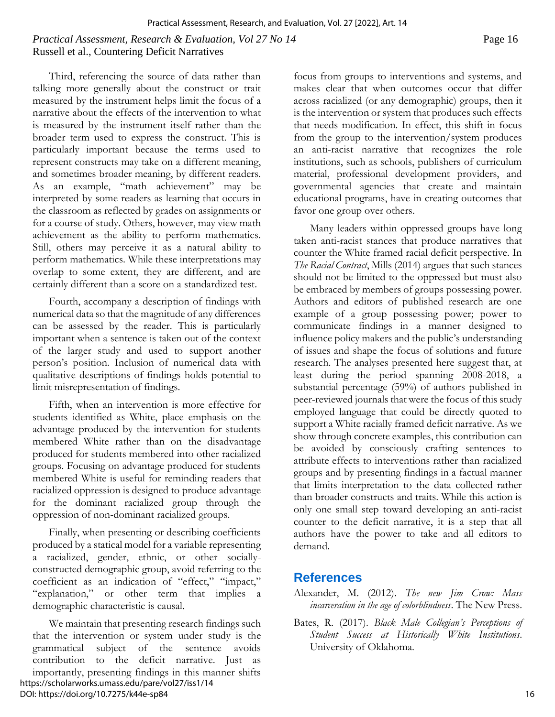#### *Practical Assessment, Research & Evaluation, Vol 27 No 14* Page 16 Russell et al., Countering Deficit Narratives

Third, referencing the source of data rather than talking more generally about the construct or trait measured by the instrument helps limit the focus of a narrative about the effects of the intervention to what is measured by the instrument itself rather than the broader term used to express the construct. This is particularly important because the terms used to represent constructs may take on a different meaning, and sometimes broader meaning, by different readers. As an example, "math achievement" may be interpreted by some readers as learning that occurs in the classroom as reflected by grades on assignments or for a course of study. Others, however, may view math achievement as the ability to perform mathematics. Still, others may perceive it as a natural ability to perform mathematics. While these interpretations may overlap to some extent, they are different, and are certainly different than a score on a standardized test.

Fourth, accompany a description of findings with numerical data so that the magnitude of any differences can be assessed by the reader. This is particularly important when a sentence is taken out of the context of the larger study and used to support another person's position. Inclusion of numerical data with qualitative descriptions of findings holds potential to limit misrepresentation of findings.

Fifth, when an intervention is more effective for students identified as White, place emphasis on the advantage produced by the intervention for students membered White rather than on the disadvantage produced for students membered into other racialized groups. Focusing on advantage produced for students membered White is useful for reminding readers that racialized oppression is designed to produce advantage for the dominant racialized group through the oppression of non-dominant racialized groups.

Finally, when presenting or describing coefficients produced by a statical model for a variable representing a racialized, gender, ethnic, or other sociallyconstructed demographic group, avoid referring to the coefficient as an indication of "effect," "impact," "explanation," or other term that implies a demographic characteristic is causal.

We maintain that presenting research findings such that the intervention or system under study is the grammatical subject of the sentence avoids contribution to the deficit narrative. Just as importantly, presenting findings in this manner shifts https://scholarworks.umass.edu/pare/vol27/iss1/14 DOI: https://doi.org/10.7275/k44e-sp84

focus from groups to interventions and systems, and makes clear that when outcomes occur that differ across racialized (or any demographic) groups, then it is the intervention or system that produces such effects that needs modification. In effect, this shift in focus from the group to the intervention/system produces an anti-racist narrative that recognizes the role institutions, such as schools, publishers of curriculum material, professional development providers, and governmental agencies that create and maintain educational programs, have in creating outcomes that favor one group over others.

Many leaders within oppressed groups have long taken anti-racist stances that produce narratives that counter the White framed racial deficit perspective. In *The Racial Contract*, Mills (2014) argues that such stances should not be limited to the oppressed but must also be embraced by members of groups possessing power. Authors and editors of published research are one example of a group possessing power; power to communicate findings in a manner designed to influence policy makers and the public's understanding of issues and shape the focus of solutions and future research. The analyses presented here suggest that, at least during the period spanning 2008-2018, a substantial percentage (59%) of authors published in peer-reviewed journals that were the focus of this study employed language that could be directly quoted to support a White racially framed deficit narrative. As we show through concrete examples, this contribution can be avoided by consciously crafting sentences to attribute effects to interventions rather than racialized groups and by presenting findings in a factual manner that limits interpretation to the data collected rather than broader constructs and traits. While this action is only one small step toward developing an anti-racist counter to the deficit narrative, it is a step that all authors have the power to take and all editors to demand.

# **References**

- Alexander, M. (2012). *The new Jim Crow: Mass incarceration in the age of colorblindness*. The New Press.
- Bates, R. (2017). *Black Male Collegian's Perceptions of Student Success at Historically White Institutions*. University of Oklahoma.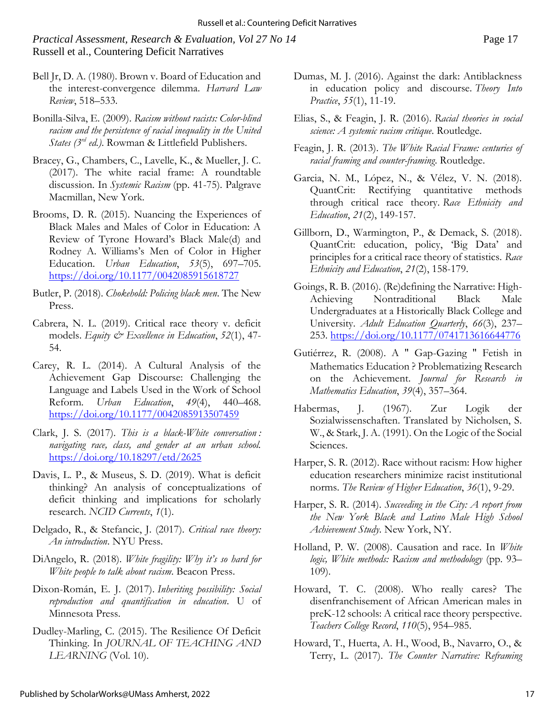#### *Practical Assessment, Research & Evaluation, Vol 27 No 14* Page 17 Russell et al., Countering Deficit Narratives

- Bell Jr, D. A. (1980). Brown v. Board of Education and the interest-convergence dilemma. *Harvard Law Review*, 518–533.
- Bonilla-Silva, E. (2009). *Racism without racists: Color-blind*  racism and the persistence of racial inequality in the United *States (3rd ed.)*. Rowman & Littlefield Publishers.
- Bracey, G., Chambers, C., Lavelle, K., & Mueller, J. C. (2017). The white racial frame: A roundtable discussion. In *Systemic Racism* (pp. 41-75). Palgrave Macmillan, New York.
- Brooms, D. R. (2015). Nuancing the Experiences of Black Males and Males of Color in Education: A Review of Tyrone Howard's Black Male(d) and Rodney A. Williams's Men of Color in Higher Education. *Urban Education*, *53*(5), 697–705. <https://doi.org/10.1177/0042085915618727>
- Butler, P. (2018). *Chokehold: Policing black men*. The New Press.
- Cabrera, N. L. (2019). Critical race theory v. deficit models. *Equity & Excellence in Education*, *52*(1), 47- 54.
- Carey, R. L. (2014). A Cultural Analysis of the Achievement Gap Discourse: Challenging the Language and Labels Used in the Work of School Reform. *Urban Education*, *49*(4), 440–468. <https://doi.org/10.1177/0042085913507459>
- Clark, J. S. (2017). *This is a black-White conversation : navigating race, class, and gender at an urban school.* <https://doi.org/10.18297/etd/2625>
- Davis, L. P., & Museus, S. D. (2019). What is deficit thinking? An analysis of conceptualizations of deficit thinking and implications for scholarly research. *NCID Currents*, *1*(1).
- Delgado, R., & Stefancic, J. (2017). *Critical race theory: An introduction*. NYU Press.
- DiAngelo, R. (2018). *White fragility: Why it's so hard for White people to talk about racism*. Beacon Press.
- Dixon-Román, E. J. (2017). *Inheriting possibility: Social reproduction and quantification in education*. U of Minnesota Press.
- Dudley-Marling, C. (2015). The Resilience Of Deficit Thinking. In *JOURNAL OF TEACHING AND LEARNING* (Vol. 10).
- Dumas, M. J. (2016). Against the dark: Antiblackness in education policy and discourse. *Theory Into Practice*, *55*(1), 11-19.
- Elias, S., & Feagin, J. R. (2016). *Racial theories in social science: A systemic racism critique*. Routledge.
- Feagin, J. R. (2013). *The White Racial Frame: centuries of racial framing and counter-framing*. Routledge.
- Garcia, N. M., López, N., & Vélez, V. N. (2018). QuantCrit: Rectifying quantitative methods through critical race theory. *Race Ethnicity and Education*, *21*(2), 149-157.
- Gillborn, D., Warmington, P., & Demack, S. (2018). QuantCrit: education, policy, 'Big Data' and principles for a critical race theory of statistics. *Race Ethnicity and Education*, *21*(2), 158-179.
- Goings, R. B. (2016). (Re)defining the Narrative: High-Achieving Nontraditional Black Male Undergraduates at a Historically Black College and University. *Adult Education Quarterly*, *66*(3), 237– 253.<https://doi.org/10.1177/0741713616644776>
- Gutiérrez, R. (2008). A " Gap-Gazing " Fetish in Mathematics Education ? Problematizing Research on the Achievement. *Journal for Research in Mathematics Education*, *39*(4), 357–364.
- Habermas, J. (1967). Zur Logik der Sozialwissenschaften. Translated by Nicholsen, S. W., & Stark, J. A. (1991). On the Logic of the Social Sciences.
- Harper, S. R. (2012). Race without racism: How higher education researchers minimize racist institutional norms. *The Review of Higher Education*, *36*(1), 9-29.
- Harper, S. R. (2014). *Succeeding in the City: A report from the New York Black and Latino Male High School Achievement Study*. New York, NY.
- Holland, P. W. (2008). Causation and race. In *White logic, White methods: Racism and methodology* (pp. 93– 109).
- Howard, T. C. (2008). Who really cares? The disenfranchisement of African American males in preK-12 schools: A critical race theory perspective. *Teachers College Record*, *110*(5), 954–985.
- Howard, T., Huerta, A. H., Wood, B., Navarro, O., & Terry, L. (2017). *The Counter Narrative: Reframing*